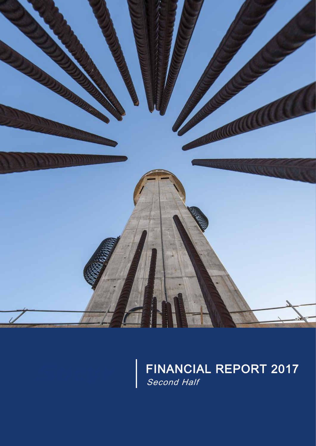

FINANCIAL REPORT 2017 Occond Tiam Second Half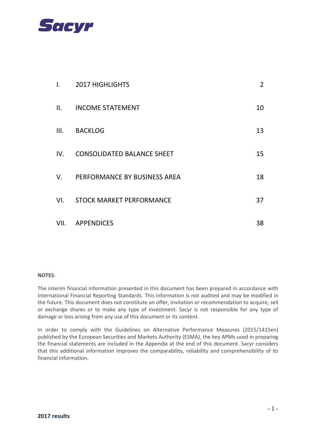

| I.   | <b>2017 HIGHLIGHTS</b>            | $\overline{2}$ |
|------|-----------------------------------|----------------|
| II.  | <b>INCOME STATEMENT</b>           | 10             |
| III. | <b>BACKLOG</b>                    | 13             |
| IV.  | <b>CONSOLIDATED BALANCE SHEET</b> | 15             |
| V.   | PERFORMANCE BY BUSINESS AREA      | 18             |
| VI.  | <b>STOCK MARKET PERFORMANCE</b>   | 37             |
| VII. | <b>APPENDICES</b>                 | 38             |

#### **NOTES**:

The interim financial information presented in this document has been prepared in accordance with International Financial Reporting Standards. This information is not audited and may be modified in the future. This document does not constitute an offer, invitation or recommendation to acquire, sell or exchange shares or to make any type of investment. Sacyr is not responsible for any type of damage or loss arising from any use of this document or its content.

In order to comply with the Guidelines on Alternative Performance Measures (2015/1415en) published by the European Securities and Markets Authority (ESMA), the key APMs used in preparing the financial statements are included in the Appendix at the end of this document. Sacyr considers that this additional information improves the comparability, reliability and comprehensibility of its financial information.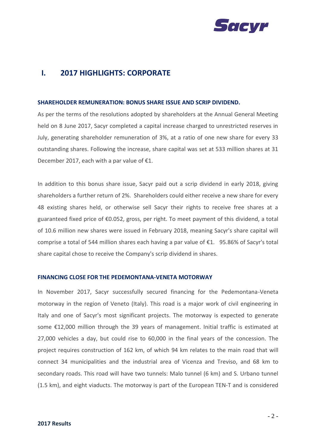

## **I. 2017 HIGHLIGHTS: CORPORATE**

#### **SHAREHOLDER REMUNERATION: BONUS SHARE ISSUE AND SCRIP DIVIDEND.**

As per the terms of the resolutions adopted by shareholders at the Annual General Meeting held on 8 June 2017, Sacyr completed a capital increase charged to unrestricted reserves in July, generating shareholder remuneration of 3%, at a ratio of one new share for every 33 outstanding shares. Following the increase, share capital was set at 533 million shares at 31 December 2017, each with a par value of  $E1$ .

In addition to this bonus share issue, Sacyr paid out a scrip dividend in early 2018, giving shareholders a further return of 2%. Shareholders could either receive a new share for every 48 existing shares held, or otherwise sell Sacyr their rights to receive free shares at a guaranteed fixed price of €0.052, gross, per right. To meet payment of this dividend, a total of 10.6 million new shares were issued in February 2018, meaning Sacyr's share capital will comprise a total of 544 million shares each having a par value of  $\epsilon$ 1. 95.86% of Sacyr's total share capital chose to receive the Company's scrip dividend in shares.

#### **FINANCING CLOSE FOR THE PEDEMONTANA-VENETA MOTORWAY**

In November 2017, Sacyr successfully secured financing for the Pedemontana-Veneta motorway in the region of Veneto (Italy). This road is a major work of civil engineering in Italy and one of Sacyr's most significant projects. The motorway is expected to generate some €12,000 million through the 39 years of management. Initial traffic is estimated at 27,000 vehicles a day, but could rise to 60,000 in the final years of the concession. The project requires construction of 162 km, of which 94 km relates to the main road that will connect 34 municipalities and the industrial area of Vicenza and Treviso, and 68 km to secondary roads. This road will have two tunnels: Malo tunnel (6 km) and S. Urbano tunnel (1.5 km), and eight viaducts. The motorway is part of the European TEN-T and is considered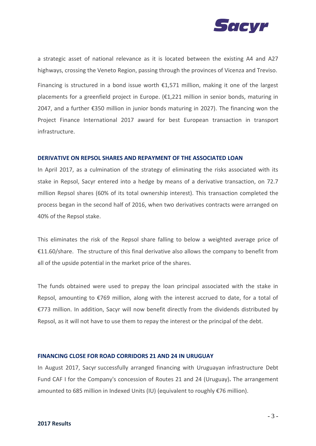

a strategic asset of national relevance as it is located between the existing A4 and A27 highways, crossing the Veneto Region, passing through the provinces of Vicenza and Treviso.

Financing is structured in a bond issue worth  $£1,571$  million, making it one of the largest placements for a greenfield project in Europe. (€1,221 million in senior bonds, maturing in 2047, and a further €350 million in junior bonds maturing in 2027). The financing won the Project Finance International 2017 award for best European transaction in transport infrastructure.

#### **DERIVATIVE ON REPSOL SHARES AND REPAYMENT OF THE ASSOCIATED LOAN**

In April 2017, as a culmination of the strategy of eliminating the risks associated with its stake in Repsol, Sacyr entered into a hedge by means of a derivative transaction, on 72.7 million Repsol shares (60% of its total ownership interest). This transaction completed the process began in the second half of 2016, when two derivatives contracts were arranged on 40% of the Repsol stake.

This eliminates the risk of the Repsol share falling to below a weighted average price of €11.60/share. The structure of this final derivative also allows the company to benefit from all of the upside potential in the market price of the shares.

The funds obtained were used to prepay the loan principal associated with the stake in Repsol, amounting to €769 million, along with the interest accrued to date, for a total of €773 million. In addition, Sacyr will now benefit directly from the dividends distributed by Repsol, as it will not have to use them to repay the interest or the principal of the debt.

#### **FINANCING CLOSE FOR ROAD CORRIDORS 21 AND 24 IN URUGUAY**

[In August 2017, Sacyr](http://www.bolsamania.com/accion/SACYR) successfully arranged financing with Uruguayan infrastructure Debt Fund CAF I for the Company's concession of [Routes 21 and 24 \(Uruguay\)](http://www.sacyr.com/es_es/canales/canal-actualidad/noticias/destacados/2015/Adjudicacion/10112015_Adjudicacion_Primer_proyecto_Uruguay.aspx)**.** The arrangement amounted to 685 million in Indexed Units (IU) (equivalent to roughly €76 million).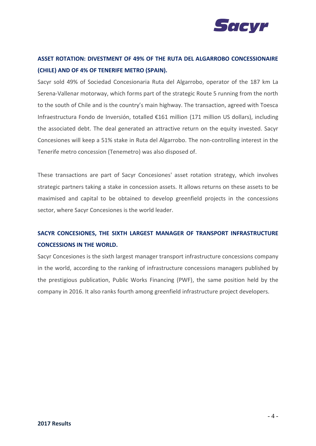

# **ASSET ROTATION: DIVESTMENT OF 49% OF THE RUTA DEL ALGARROBO CONCESSIONAIRE (CHILE) AND OF 4% OF TENERIFE METRO (SPAIN).**

Sacyr sold 49% of Sociedad Concesionaria Ruta del Algarrobo, operator of the 187 km La Serena-Vallenar motorway, which forms part of the strategic Route 5 running from the north to the south of Chile and is the country's main highway. The transaction, agreed with Toesca Infraestructura Fondo de Inversión, totalled €161 million (171 million US dollars), including the associated debt. The deal generated an attractive return on the equity invested. Sacyr Concesiones will keep a 51% stake in Ruta del Algarrobo. The non-controlling interest in the Tenerife metro concession (Tenemetro) was also disposed of.

These transactions are part of Sacyr Concesiones' asset rotation strategy, which involves strategic partners taking a stake in concession assets. It allows returns on these assets to be maximised and capital to be obtained to develop greenfield projects in the concessions sector, where Sacyr Concesiones is the world leader.

# **SACYR CONCESIONES, THE SIXTH LARGEST MANAGER OF TRANSPORT INFRASTRUCTURE CONCESSIONS IN THE WORLD.**

Sacyr Concesiones is the sixth largest manager transport infrastructure concessions company in the world, according to the ranking of infrastructure concessions managers published by the prestigious publication, Public Works Financing (PWF), the same position held by the company in 2016. It also ranks fourth among greenfield infrastructure project developers.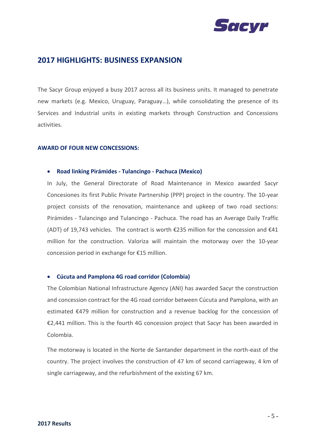

### **2017 HIGHLIGHTS: BUSINESS EXPANSION**

The Sacyr Group enjoyed a busy 2017 across all its business units. It managed to penetrate new markets (e.g. Mexico, Uruguay, Paraguay…), while consolidating the presence of its Services and Industrial units in existing markets through Construction and Concessions activities.

#### **AWARD OF FOUR NEW CONCESSIONS:**

#### • **Road linking Pirámides - Tulancingo - Pachuca (Mexico)**

In July, the General Directorate of Road Maintenance in Mexico awarded Sacyr Concesiones its first Public Private Partnership (PPP) project in the country. The 10-year project consists of the renovation, maintenance and upkeep of two road sections: Pirámides - Tulancingo and Tulancingo - Pachuca. The road has an Average Daily Traffic (ADT) of 19,743 vehicles. The contract is worth  $\epsilon$ 235 million for the concession and  $\epsilon$ 41 million for the construction. Valoriza will maintain the motorway over the 10-year concession period in exchange for €15 million.

#### • **Cúcuta and Pamplona 4G road corridor (Colombia)**

The Colombian National Infrastructure Agency (ANI) has awarded Sacyr the construction and concession contract for the 4G road corridor between Cúcuta and Pamplona, with an estimated €479 million for construction and a revenue backlog for the concession of €2,441 million. This is the fourth 4G concession project that Sacyr has been awarded in Colombia.

The motorway is located in the Norte de Santander department in the north-east of the country. The project involves the construction of 47 km of second carriageway, 4 km of single carriageway, and the refurbishment of the existing 67 km.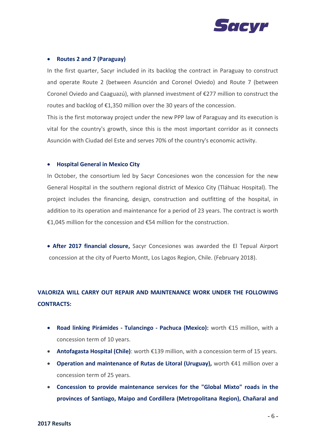

#### • **Routes 2 and 7 (Paraguay)**

In the first quarter, Sacyr included in its backlog the contract in Paraguay to construct and operate Route 2 (between Asunción and Coronel Oviedo) and Route 7 (between Coronel Oviedo and Caaguazú), with planned investment of €277 million to construct the routes and backlog of €1,350 million over the 30 years of the concession.

This is the first motorway project under the new PPP law of Paraguay and its execution is vital for the country's growth, since this is the most important corridor as it connects Asunción with Ciudad del Este and serves 70% of the country's economic activity.

#### • **Hospital General in Mexico City**

In October, the consortium led by Sacyr Concesiones won the concession for the new General Hospital in the southern regional district of Mexico City (Tláhuac Hospital). The project includes the financing, design, construction and outfitting of the hospital, in addition to its operation and maintenance for a period of 23 years. The contract is worth €1,045 million for the concession and €54 million for the construction.

• **After 2017 financial closure,** Sacyr Concesiones was awarded the El Tepual Airport concession at the city of Puerto Montt, Los Lagos Region, Chile. (February 2018).

# **VALORIZA WILL CARRY OUT REPAIR AND MAINTENANCE WORK UNDER THE FOLLOWING CONTRACTS:**

- **Road linking Pirámides - Tulancingo - Pachuca (Mexico):** worth €15 million, with a concession term of 10 years.
- **Antofagasta Hospital (Chile)**: worth €139 million, with a concession term of 15 years.
- **Operation and maintenance of Rutas de Litoral (Uruguay),** worth €41 million over a concession term of 25 years.
- **Concession to provide maintenance services for the "Global Mixto" roads in the provinces of Santiago, Maipo and Cordillera (Metropolitana Region), Chañaral and**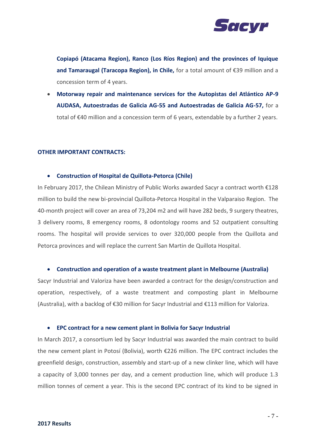

**Copiapó (Atacama Region), Ranco (Los Ríos Region) and the provinces of Iquique and Tamaraugal (Taracopa Region), in Chile,** for a total amount of €39 million and a concession term of 4 years.

• **Motorway repair and maintenance services for the Autopistas del Atlántico AP-9 AUDASA, Autoestradas de Galicia AG-55 and Autoestradas de Galicia AG-57,** for a total of €40 million and a concession term of 6 years, extendable by a further 2 years.

#### **OTHER IMPORTANT CONTRACTS:**

#### • **Construction of Hospital de Quillota-Petorca (Chile)**

In February 2017, the Chilean Ministry of Public Works awarded Sacyr a contract worth €128 million to build the new bi-provincial Quillota-Petorca Hospital in the Valparaiso Region. The 40-month project will cover an area of 73,204 m2 and will have 282 beds, 9 surgery theatres, 3 delivery rooms, 8 emergency rooms, 8 odontology rooms and 52 outpatient consulting rooms. The hospital will provide services to over 320,000 people from the Quillota and Petorca provinces and will replace the current San Martin de Quillota Hospital.

#### • **Construction and operation of a waste treatment plant in Melbourne (Australia)**

Sacyr Industrial and Valoriza have been awarded a contract for the design/construction and operation, respectively, of a waste treatment and composting plant in Melbourne (Australia), with a backlog of €30 million for Sacyr Industrial and €113 million for Valoriza.

#### • **EPC contract for a new cement plant in Bolivia for Sacyr Industrial**

In March 2017, a consortium led by Sacyr Industrial was awarded the main contract to build the new cement plant in Potosí (Bolivia), worth €226 million. The EPC contract includes the greenfield design, construction, assembly and start-up of a new clinker line, which will have a capacity of 3,000 tonnes per day, and a cement production line, which will produce 1.3 million tonnes of cement a year. This is the second EPC contract of its kind to be signed in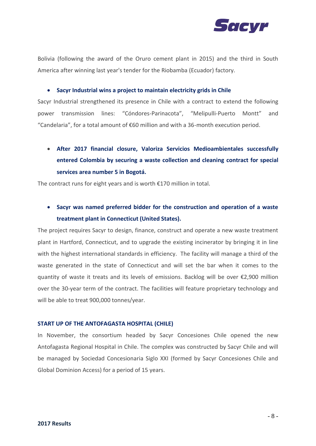

Bolivia (following the award of the Oruro cement plant in 2015) and the third in South America after winning last year's tender for the Riobamba (Ecuador) factory.

• **Sacyr Industrial wins a project to maintain electricity grids in Chile** 

Sacyr Industrial strengthened its presence in Chile with a contract to extend the following power transmission lines: "Cóndores-Parinacota", "Melipulli-Puerto Montt" and "Candelaria", for a total amount of  $\epsilon$ 60 million and with a 36-month execution period.

• **After 2017 financial closure, Valoriza Servicios Medioambientales successfully entered Colombia by securing a waste collection and cleaning contract for special services area number 5 in Bogotá.**

The contract runs for eight years and is worth €170 million in total.

• **Sacyr was named preferred bidder for the construction and operation of a waste treatment plant in Connecticut (United States).** 

The project requires Sacyr to design, finance, construct and operate a new waste treatment plant in Hartford, Connecticut, and to upgrade the existing incinerator by bringing it in line with the highest international standards in efficiency. The facility will manage a third of the waste generated in the state of Connecticut and will set the bar when it comes to the quantity of waste it treats and its levels of emissions. Backlog will be over €2,900 million over the 30-year term of the contract. The facilities will feature proprietary technology and will be able to treat 900,000 tonnes/year.

#### **START UP OF THE ANTOFAGASTA HOSPITAL (CHILE)**

In November, the consortium headed by Sacyr Concesiones Chile opened the new Antofagasta Regional Hospital in Chile. The complex was constructed by Sacyr Chile and will be managed by Sociedad Concesionaria Siglo XXI (formed by Sacyr Concesiones Chile and Global Dominion Access) for a period of 15 years.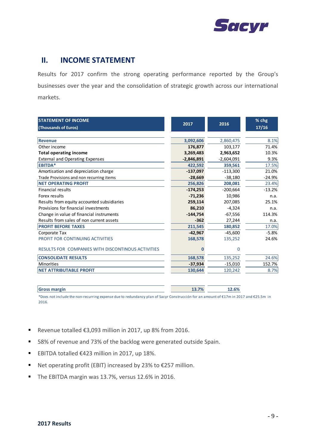

### **II. INCOME STATEMENT**

Results for 2017 confirm the strong operating performance reported by the Group's businesses over the year and the consolidation of strategic growth across our international markets.

| <b>STATEMENT OF INCOME</b>                         |              |              | % chg    |
|----------------------------------------------------|--------------|--------------|----------|
| (Thousands of Euros)                               | 2017         | 2016         | 17/16    |
|                                                    |              |              |          |
| <b>Revenue</b>                                     | 3,092,606    | 2,860,475    | 8.1%     |
| Other income                                       | 176,877      | 103,177      | 71.4%    |
| <b>Total operating income</b>                      | 3,269,483    | 2,963,652    | 10.3%    |
| <b>External and Operating Expenses</b>             | $-2,846,891$ | $-2,604,091$ | 9.3%     |
| <b>EBITDA*</b>                                     | 422,592      | 359,561      | 17.5%    |
| Amortisation and depreciation charge               | $-137,097$   | $-113,300$   | 21.0%    |
| Trade Provisions and non recurring items           | $-28,669$    | $-38,180$    | $-24.9%$ |
| <b>NET OPERATING PROFIT</b>                        | 256,826      | 208,081      | 23.4%    |
| Financial results                                  | $-174,253$   | $-200,664$   | $-13.2%$ |
| Forex results                                      | $-71,236$    | 10,986       | n.a.     |
| Results from equity accounted subsidiaries         | 259,114      | 207,085      | 25.1%    |
| Provisions for financial investments               | 86,210       | $-4,324$     | n.a.     |
| Change in value of financial instruments           | $-144,754$   | $-67,556$    | 114.3%   |
| Results from sales of non current assets           | $-362$       | 27,244       | n.a.     |
| <b>PROFIT BEFORE TAXES</b>                         | 211,545      | 180,852      | 17.0%    |
| Corporate Tax                                      | $-42.967$    | $-45,600$    | $-5.8%$  |
| PROFIT FOR CONTINUING ACTIVITIES                   | 168,578      | 135,252      | 24.6%    |
| RESULTS FOR COMPANIES WITH DISCONTINOUS ACTIVITIES | 0            | 0            |          |
| <b>CONSOLIDATE RESULTS</b>                         | 168,578      | 135,252      | 24.6%    |
| <b>Minorities</b>                                  | $-37,934$    | $-15,010$    | 152.7%   |
| <b>NET ATTRIBUTABLE PROFIT</b>                     | 130,644      | 120,242      | 8.7%     |
|                                                    |              |              |          |
| <b>Gross margin</b>                                | 13.7%        | 12.6%        |          |

\*Does not include the non-recurring expense due to redundancy plan of Sacyr Construcción for an amount of €17m in 2017 and €25.5m in 2016.

- Revenue totalled €3,093 million in 2017, up 8% from 2016.
- 58% of revenue and 73% of the backlog were generated outside Spain.
- EBITDA totalled €423 million in 2017, up 18%.
- Net operating profit (EBIT) increased by 23% to €257 million.
- The EBITDA margin was 13.7%, versus 12.6% in 2016.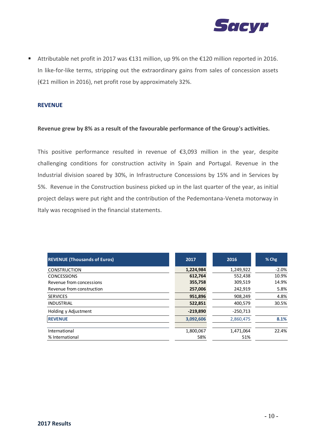

■ Attributable net profit in 2017 was €131 million, up 9% on the €120 million reported in 2016. In like-for-like terms, stripping out the extraordinary gains from sales of concession assets (€21 million in 2016), net profit rose by approximately 32%.

#### **REVENUE**

#### **Revenue grew by 8% as a result of the favourable performance of the Group's activities.**

This positive performance resulted in revenue of  $\epsilon$ 3,093 million in the year, despite challenging conditions for construction activity in Spain and Portugal. Revenue in the Industrial division soared by 30%, in Infrastructure Concessions by 15% and in Services by 5%. Revenue in the Construction business picked up in the last quarter of the year, as initial project delays were put right and the contribution of the Pedemontana-Veneta motorway in Italy was recognised in the financial statements.

| <b>REVENUE (Thousands of Euros)</b> | 2017       | 2016       | $%$ Chg |
|-------------------------------------|------------|------------|---------|
| <b>CONSTRUCTION</b>                 | 1,224,984  | 1,249,922  | $-2.0%$ |
| <b>CONCESSIONS</b>                  | 612,764    | 552,438    | 10.9%   |
| Revenue from concessions            | 355,758    | 309,519    | 14.9%   |
| Revenue from construction           | 257,006    | 242,919    | 5.8%    |
| <b>SERVICES</b>                     | 951,896    | 908,249    | 4.8%    |
| <b>INDUSTRIAL</b>                   | 522,851    | 400,579    | 30.5%   |
| Holding y Adjustment                | $-219,890$ | $-250,713$ |         |
| <b>REVENUE</b>                      | 3,092,606  | 2,860,475  | 8.1%    |
| International                       | 1,800,067  | 1,471,064  | 22.4%   |
| % International                     | 58%        | 51%        |         |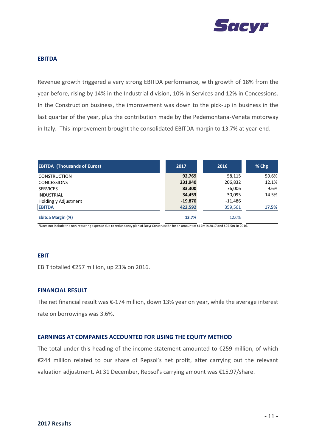

#### **EBITDA**

Revenue growth triggered a very strong EBITDA performance, with growth of 18% from the year before, rising by 14% in the Industrial division, 10% in Services and 12% in Concessions. In the Construction business, the improvement was down to the pick-up in business in the last quarter of the year, plus the contribution made by the Pedemontana-Veneta motorway in Italy. This improvement brought the consolidated EBITDA margin to 13.7% at year-end.

| <b>EBITDA (Thousands of Euros)</b> | 2017      | 2016      | $%$ Chg |
|------------------------------------|-----------|-----------|---------|
| <b>CONSTRUCTION</b>                | 92,769    | 58,115    | 59.6%   |
| <b>CONCESSIONS</b>                 | 231,940   | 206,832   | 12.1%   |
| <b>SERVICES</b>                    | 83,300    | 76,006    | 9.6%    |
| INDUSTRIAL                         | 34,453    | 30,095    | 14.5%   |
| Holding y Adjustment               | $-19,870$ | $-11,486$ |         |
| <b>EBITDA</b>                      | 422,592   | 359,561   | 17.5%   |
| Ebitda Margin (%)                  | 13.7%     | 12.6%     |         |

\*Does not include the non-recurring expense due to redundancy plan of Sacyr Construcción for an amount of €17m in 2017 and €25.5m in 2016.

#### **EBIT**

EBIT totalled €257 million, up 23% on 2016.

#### **FINANCIAL RESULT**

The net financial result was €-174 million, down 13% year on year, while the average interest rate on borrowings was 3.6%.

#### **EARNINGS AT COMPANIES ACCOUNTED FOR USING THE EQUITY METHOD**

The total under this heading of the income statement amounted to €259 million, of which €244 million related to our share of Repsol's net profit, after carrying out the relevant valuation adjustment. At 31 December, Repsol's carrying amount was €15.97/share.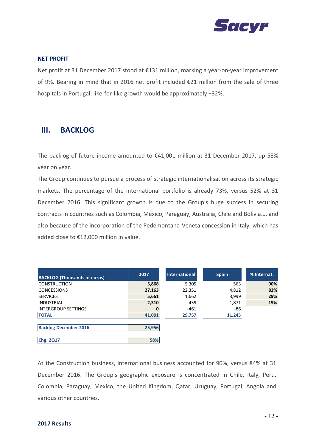

#### **NET PROFIT**

Net profit at 31 December 2017 stood at €131 million, marking a year-on-year improvement of 9%. Bearing in mind that in 2016 net profit included €21 million from the sale of three hospitals in Portugal, like-for-like growth would be approximately +32%.

### **III. BACKLOG**

The backlog of future income amounted to €41,001 million at 31 December 2017, up 58% year on year.

The Group continues to pursue a process of strategic internationalisation across its strategic markets. The percentage of the international portfolio is already 73%, versus 52% at 31 December 2016. This significant growth is due to the Group's huge success in securing contracts in countries such as Colombia, Mexico, Paraguay, Australia, Chile and Bolivia…, and also because of the incorporation of the Pedemontana-Veneta concession in Italy, which has added close to €12,000 million in value.

| <b>BACKLOG (Thousands of euros)</b> | 2017   | <b>International</b> | <b>Spain</b> | % Internat. |
|-------------------------------------|--------|----------------------|--------------|-------------|
| <b>CONSTRUCTION</b>                 | 5,868  | 5,305                | 563          | 90%         |
| <b>CONCESSIONS</b>                  | 27,163 | 22,351               | 4,812        | 82%         |
| <b>SERVICES</b>                     | 5,661  | 1,662                | 3,999        | 29%         |
| <b>INDUSTRIAL</b>                   | 2,310  | 439                  | 1,871        | 19%         |
| <b>INTERGROUP SETTINGS</b>          | 0      | $-461$               | -86          |             |
| <b>TOTAL</b>                        | 41,001 | 29,757               | 11,245       |             |
|                                     |        |                      |              |             |
| <b>Backlog December 2016</b>        | 25,956 |                      |              |             |
|                                     |        |                      |              |             |
| Chg. 2Q17                           | 58%    |                      |              |             |

At the Construction business, international business accounted for 90%, versus 84% at 31 December 2016. The Group's geographic exposure is concentrated in Chile, Italy, Peru, Colombia, Paraguay, Mexico, the United Kingdom, Qatar, Uruguay, Portugal, Angola and various other countries.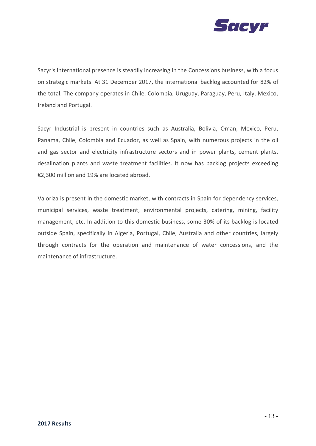

Sacyr's international presence is steadily increasing in the Concessions business, with a focus on strategic markets. At 31 December 2017, the international backlog accounted for 82% of the total. The company operates in Chile, Colombia, Uruguay, Paraguay, Peru, Italy, Mexico, Ireland and Portugal.

Sacyr Industrial is present in countries such as Australia, Bolivia, Oman, Mexico, Peru, Panama, Chile, Colombia and Ecuador, as well as Spain, with numerous projects in the oil and gas sector and electricity infrastructure sectors and in power plants, cement plants, desalination plants and waste treatment facilities. It now has backlog projects exceeding €2,300 million and 19% are located abroad.

Valoriza is present in the domestic market, with contracts in Spain for dependency services, municipal services, waste treatment, environmental projects, catering, mining, facility management, etc. In addition to this domestic business, some 30% of its backlog is located outside Spain, specifically in Algeria, Portugal, Chile, Australia and other countries, largely through contracts for the operation and maintenance of water concessions, and the maintenance of infrastructure.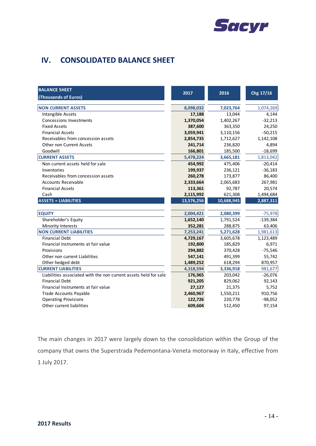

# **IV. CONSOLIDATED BALANCE SHEET**

| <b>BALANCE SHEET</b><br>(Thousands of Euros)                     | 2017       | 2016       | Chg 17/16  |
|------------------------------------------------------------------|------------|------------|------------|
| <b>NON CURRENT ASSETS</b>                                        | 8,098,032  | 7,023,764  | 1,074,269  |
| Intangible Assets                                                | 17,188     | 13,044     | 4,144      |
| <b>Concessions Investments</b>                                   | 1,370,054  | 1,402,267  | $-32,213$  |
| <b>Fixed Assets</b>                                              | 387,600    | 363,350    | 24,250     |
| <b>Financial Assets</b>                                          | 3,059,941  | 3,110,156  | $-50,215$  |
| Receivables from concession assets                               | 2,854,735  | 1,712,627  | 1,142,108  |
| Other non Current Assets                                         | 241,714    | 236,820    | 4,894      |
| Goodwill                                                         | 166,801    | 185,500    | $-18,699$  |
| <b>CURRENT ASSETS</b>                                            | 5,478,224  | 3,665,181  | 1,813,042  |
| Non current assets held for sale                                 | 454,992    | 475,406    | $-20,414$  |
| Inventories                                                      | 199,937    | 236,121    | $-36,183$  |
| Receivables from concession assets                               | 260,278    | 173,877    | 86,400     |
| <b>Accounts Receivable</b>                                       | 2,333,664  | 2,065,683  | 267,981    |
| <b>Financial Assets</b>                                          | 113,361    | 92,787     | 20,574     |
| Cash                                                             | 2,115,992  | 621,308    | 1,494,684  |
| <b>ASSETS = LIABILITIES</b>                                      | 13,576,256 | 10,688,945 | 2,887,311  |
| <b>EQUITY</b>                                                    | 2,004,421  | 2,080,399  | $-75,978$  |
| Shareholder's Equity                                             | 1,652,140  | 1,791,524  | $-139,384$ |
| Minority Interests                                               | 352,281    | 288,875    | 63,406     |
| <b>NON CURRENT LIABILITIES</b>                                   | 7,253,241  | 5,271,628  | 1,981,613  |
| <b>Financial Debt</b>                                            | 4,729,167  | 3,605,678  | 1,123,489  |
| Financial Instruments at fair value                              | 192,800    | 185,829    | 6,971      |
| Provisions                                                       | 294,882    | 370,428    | $-75,546$  |
| Other non current Liabilities                                    | 547,141    | 491,399    | 55,742     |
| Other hedged debt                                                | 1,489,252  | 618,294    | 870,957    |
| <b>CURRENT LIABILITIES</b>                                       | 4,318,594  | 3,336,918  | 981,677    |
| Liabilities associated with the non current assets held for sale | 176,965    | 203,042    | $-26,076$  |
| <b>Financial Debt</b>                                            | 921,205    | 829,062    | 92,143     |
| Financial Instruments at fair value                              | 27,127     | 21,375     | 5,752      |
| Trade Accounts Payable                                           | 2,460,967  | 1,550,211  | 910,756    |
| <b>Operating Provisions</b>                                      | 122,726    | 220,778    | $-98,052$  |
| Other current liabilities                                        | 609,604    | 512,450    | 97,154     |

The main changes in 2017 were largely down to the consolidation within the Group of the company that owns the Superstrada Pedemontana-Veneta motorway in Italy, effective from 1 July 2017.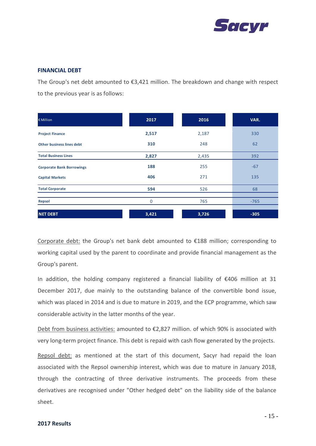

#### **FINANCIAL DEBT**

The Group's net debt amounted to €3,421 million. The breakdown and change with respect to the previous year is as follows:

| € Million                        | 2017     | 2016  | VAR.   |
|----------------------------------|----------|-------|--------|
| <b>Project Finance</b>           | 2,517    | 2,187 | 330    |
| <b>Other business lines debt</b> | 310      | 248   | 62     |
| <b>Total Business Lines</b>      | 2,827    | 2,435 | 392    |
| <b>Corporate Bank Borrowings</b> | 188      | 255   | $-67$  |
| <b>Capital Markets</b>           | 406      | 271   | 135    |
| <b>Total Corporate</b>           | 594      | 526   | 68     |
| Repsol                           | $\Omega$ | 765   | $-765$ |
| <b>NET DEBT</b>                  | 3,421    | 3,726 | $-305$ |

Corporate debt: the Group's net bank debt amounted to  $E$ 188 million; corresponding to working capital used by the parent to coordinate and provide financial management as the Group's parent.

In addition, the holding company registered a financial liability of €406 million at 31 December 2017, due mainly to the outstanding balance of the convertible bond issue, which was placed in 2014 and is due to mature in 2019, and the ECP programme, which saw considerable activity in the latter months of the year.

Debt from business activities: amounted to €2,827 million. of which 90% is associated with very long-term project finance. This debt is repaid with cash flow generated by the projects.

Repsol debt: as mentioned at the start of this document, Sacyr had repaid the loan associated with the Repsol ownership interest, which was due to mature in January 2018, through the contracting of three derivative instruments. The proceeds from these derivatives are recognised under "Other hedged debt" on the liability side of the balance sheet.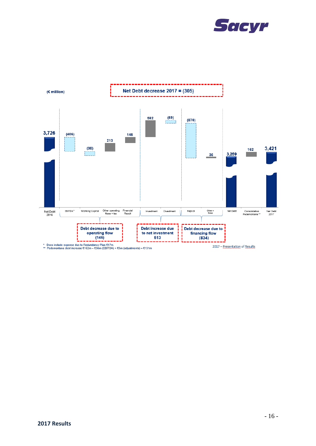

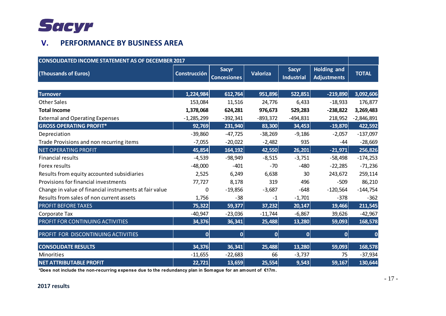

# **V. PERFORMANCE BY BUSINESS AREA**

| <b>CONSOLIDATED INCOME STATEMENT AS OF DECEMBER 2017</b> |                     |                                    |            |                                   |                                          |              |
|----------------------------------------------------------|---------------------|------------------------------------|------------|-----------------------------------|------------------------------------------|--------------|
| (Thousands of Euros)                                     | <b>Construcción</b> | <b>Sacyr</b><br><b>Concesiones</b> | Valoriza   | <b>Sacyr</b><br><b>Industrial</b> | <b>Holding and</b><br><b>Adjustments</b> | <b>TOTAL</b> |
|                                                          |                     |                                    |            |                                   |                                          |              |
| <b>Turnover</b>                                          | 1,224,984           | 612,764                            | 951,896    | 522,851                           | $-219,890$                               | 3,092,606    |
| <b>Other Sales</b>                                       | 153,084             | 11,516                             | 24,776     | 6,433                             | $-18,933$                                | 176,877      |
| <b>Total Income</b>                                      | 1,378,068           | 624,281                            | 976,673    | 529,283                           | $-238,822$                               | 3,269,483    |
| <b>External and Operating Expenses</b>                   | $-1,285,299$        | $-392,341$                         | $-893,372$ | $-494,831$                        | 218,952                                  | $-2,846,891$ |
| <b>GROSS OPERATING PROFIT*</b>                           | 92,769              | 231,940                            | 83,300     | 34,453                            | $-19,870$                                | 422,592      |
| Depreciation                                             | $-39,860$           | $-47,725$                          | $-38,269$  | $-9,186$                          | $-2,057$                                 | $-137,097$   |
| Trade Provisions and non recurring items                 | $-7,055$            | $-20,022$                          | $-2,482$   | 935                               | $-44$                                    | $-28,669$    |
| <b>NET OPERATING PROFIT</b>                              | 45,854              | 164,192                            | 42,550     | 26,201                            | $-21,971$                                | 256,826      |
| <b>Financial results</b>                                 | $-4,539$            | $-98,949$                          | $-8,515$   | $-3,751$                          | $-58,498$                                | $-174,253$   |
| Forex results                                            | $-48,000$           | $-401$                             | $-70$      | $-480$                            | $-22,285$                                | $-71,236$    |
| Results from equity accounted subsidiaries               | 2,525               | 6,249                              | 6,638      | 30                                | 243,672                                  | 259,114      |
| Provisions for financial investments                     | 77,727              | 8,178                              | 319        | 496                               | $-509$                                   | 86,210       |
| Change in value of financial instruments at fair value   | 0                   | $-19,856$                          | $-3,687$   | $-648$                            | $-120,564$                               | $-144,754$   |
| Results from sales of non current assets                 | 1,756               | $-38$                              | $-1$       | $-1,701$                          | $-378$                                   | $-362$       |
| <b>PROFIT BEFORE TAXES</b>                               | 75,322              | 59,377                             | 37,232     | 20,147                            | 19,466                                   | 211,545      |
| Corporate Tax                                            | $-40,947$           | $-23,036$                          | $-11,744$  | $-6,867$                          | 39,626                                   | $-42,967$    |
| PROFIT FOR CONTINUING ACTIVITIES                         | 34,376              | 36,341                             | 25,488     | 13,280                            | 59,093                                   | 168,578      |
| PROFIT FOR DISCONTINUING ACTIVITIES                      | 0                   | 0                                  | 0          | 0                                 | $\mathbf{0}$                             | 0            |
| <b>CONSOLIDATE RESULTS</b>                               | 34,376              | 36,341                             | 25,488     | 13,280                            | 59,093                                   | 168,578      |
| Minorities                                               | $-11,655$           | $-22,683$                          | 66         | $-3,737$                          | 75                                       | $-37,934$    |
| <b>NET ATTRIBUTABLE PROFIT</b>                           | 22,721              | 13,659                             | 25,554     | 9,543                             | 59,167                                   | 130,644      |

**\*Does not include the non-recurring expense due to the redundancy plan in Somague for an amount of €17m.**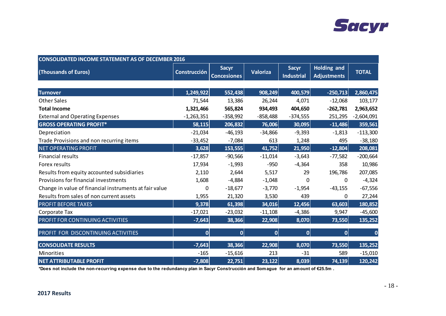

| <b>CONSOLIDATED INCOME STATEMENT AS OF DECEMBER 2016</b> |                     |                                    |              |                                   |                                          |              |
|----------------------------------------------------------|---------------------|------------------------------------|--------------|-----------------------------------|------------------------------------------|--------------|
| (Thousands of Euros)                                     | <b>Construcción</b> | <b>Sacyr</b><br><b>Concesiones</b> | Valoriza     | <b>Sacyr</b><br><b>Industrial</b> | <b>Holding and</b><br><b>Adjustments</b> | <b>TOTAL</b> |
|                                                          |                     |                                    |              |                                   |                                          |              |
| <b>Turnover</b>                                          | 1,249,922           | 552,438                            | 908,249      | 400,579                           | $-250,713$                               | 2,860,475    |
| <b>Other Sales</b>                                       | 71,544              | 13,386                             | 26,244       | 4,071                             | $-12,068$                                | 103,177      |
| <b>Total Income</b>                                      | 1,321,466           | 565,824                            | 934,493      | 404,650                           | $-262,781$                               | 2,963,652    |
| <b>External and Operating Expenses</b>                   | $-1,263,351$        | $-358,992$                         | $-858,488$   | $-374,555$                        | 251,295                                  | $-2,604,091$ |
| <b>GROSS OPERATING PROFIT*</b>                           | 58,115              | 206,832                            | 76,006       | 30,095                            | $-11,486$                                | 359,561      |
| Depreciation                                             | $-21,034$           | $-46,193$                          | $-34,866$    | $-9,393$                          | $-1,813$                                 | $-113,300$   |
| Trade Provisions and non recurring items                 | $-33,452$           | $-7,084$                           | 613          | 1,248                             | 495                                      | $-38,180$    |
| <b>NET OPERATING PROFIT</b>                              | 3,628               | 153,555                            | 41,752       | 21,950                            | $-12,804$                                | 208,081      |
| <b>Financial results</b>                                 | $-17,857$           | $-90,566$                          | $-11,014$    | $-3,643$                          | $-77,582$                                | $-200,664$   |
| Forex results                                            | 17,934              | $-1,993$                           | $-950$       | $-4,364$                          | 358                                      | 10,986       |
| Results from equity accounted subsidiaries               | 2,110               | 2,644                              | 5,517        | 29                                | 196,786                                  | 207,085      |
| Provisions for financial investments                     | 1,608               | $-4,884$                           | $-1,048$     | 0                                 | $\mathbf{0}$                             | $-4,324$     |
| Change in value of financial instruments at fair value   | 0                   | $-18,677$                          | $-3,770$     | $-1,954$                          | $-43,155$                                | $-67,556$    |
| Results from sales of non current assets                 | 1,955               | 21,320                             | 3,530        | 439                               | 0                                        | 27,244       |
| <b>PROFIT BEFORE TAXES</b>                               | 9,378               | 61,398                             | 34,016       | 12,456                            | 63,603                                   | 180,852      |
| Corporate Tax                                            | $-17,021$           | $-23,032$                          | $-11,108$    | $-4,386$                          | 9,947                                    | $-45,600$    |
| PROFIT FOR CONTINUING ACTIVITIES                         | $-7,643$            | 38,366                             | 22,908       | 8,070                             | 73,550                                   | 135,252      |
| PROFIT FOR DISCONTINUING ACTIVITIES                      | $\mathbf{0}$        | 0                                  | $\mathbf{0}$ | 0                                 | $\mathbf 0$                              | 0            |
| <b>CONSOLIDATE RESULTS</b>                               | $-7,643$            | 38,366                             | 22,908       | 8,070                             | 73,550                                   | 135,252      |
| <b>Minorities</b>                                        | $-165$              | $-15,616$                          | 213          | $-31$                             | 589                                      | $-15,010$    |
| <b>NET ATTRIBUTABLE PROFIT</b>                           | $-7,808$            | 22,751                             | 23,122       | 8,039                             | 74,139                                   | 120,242      |

**\*Does not include the non-recurring expense due to the redundancy plan in Sacyr Construcción and Somague for an amount of €25.5m .**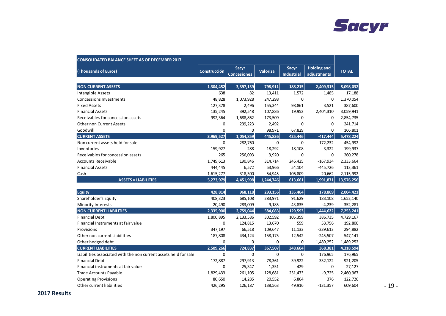

| <b>CONSOLIDATED BALANCE SHEET AS OF DECEMBER 2017</b>            |              |                             |                 |                                   |                                   |              |
|------------------------------------------------------------------|--------------|-----------------------------|-----------------|-----------------------------------|-----------------------------------|--------------|
| (Thousands of Euros)                                             | Construcción | Sacyr<br><b>Concesiones</b> | <b>Valoriza</b> | <b>Sacyr</b><br><b>Industrial</b> | <b>Holding and</b><br>adjustments | <b>TOTAL</b> |
| <b>NON CURRENT ASSETS</b>                                        | 1.304.452    | 3,397,139                   | 798,911         | 188,215                           | 2,409,315                         | 8,098,032    |
| Intangible Assets                                                | 638          | 82                          | 13,411          | 1,572                             | 1,485                             | 17,188       |
| <b>Concessions Investments</b>                                   | 48,828       | 1,073,928                   | 247,298         | 0                                 | $\mathbf 0$                       | 1,370,054    |
| <b>Fixed Assets</b>                                              | 127,378      | 2,496                       | 155,344         | 98,861                            | 3,521                             | 387,600      |
| <b>Financial Assets</b>                                          | 135,245      | 392,548                     | 107,886         | 19,952                            | 2,404,310                         | 3,059,941    |
| Receivables for concession assets                                | 992,364      | 1,688,862                   | 173,509         | $\mathbf 0$                       | 0                                 | 2,854,735    |
| <b>Other non Current Assets</b>                                  | 0            | 239,223                     | 2,492           | $\mathbf 0$                       | 0                                 | 241,714      |
| Goodwill                                                         | $\mathbf 0$  | $\mathbf 0$                 | 98,971          | 67,829                            | 0                                 | 166,801      |
| <b>CURRENT ASSETS</b>                                            | 3,969,527    | 1,054,859                   | 445,836         | 425,446                           | $-417,444$                        | 5,478,224    |
| Non current assets held for sale                                 | $\mathbf 0$  | 282,760                     | $\mathbf 0$     | $\mathbf 0$                       | 172,232                           | 454,992      |
| Inventories                                                      | 159,927      | 288                         | 18,292          | 18,108                            | 3,322                             | 199,937      |
| Receivables for concession assets                                | 265          | 256,093                     | 3,920           | 0                                 | 0                                 | 260,278      |
| <b>Accounts Receivable</b>                                       | 1,749,613    | 190,846                     | 314,714         | 246,425                           | $-167,934$                        | 2,333,664    |
| <b>Financial Assets</b>                                          | 444,445      | 6,572                       | 53,966          | 54,104                            | $-445,726$                        | 113,361      |
| Cash                                                             | 1,615,277    | 318,300                     | 54,945          | 106,809                           | 20,662                            | 2,115,992    |
| <b>ASSETS = LIABILITIES</b>                                      | 5,273,979    | 4,451,998                   | 1,244,746       | 613,661                           | 1,991,871                         | 13,576,256   |
| <b>Equity</b>                                                    | 428,814      | 968,118                     | 293,156         | 135,464                           | 178,869                           | 2,004,421    |
| Shareholder's Equity                                             | 408,323      | 685,108                     | 283,971         | 91,629                            | 183,108                           | 1,652,140    |
| Minority Interests                                               | 20,490       | 283,009                     | 9,185           | 43,835                            | $-4,239$                          | 352,281      |
| <b>NON CURRENT LIABILITIES</b>                                   | 2,335,900    | 2,759,044                   | 584,083         | 129,593                           | 1,444,622                         | 7,253,241    |
| <b>Financial Debt</b>                                            | 1,800,895    | 2,133,586                   | 302,592         | 105,359                           | 386,735                           | 4,729,167    |
| Financial Instruments at fair value                              | 0            | 124,815                     | 13,670          | 559                               | 53,756                            | 192,800      |
| Provisions                                                       | 347,197      | 66,518                      | 109,647         | 11,133                            | $-239,613$                        | 294,882      |
| Other non current Liabilities                                    | 187,808      | 434,124                     | 158,175         | 12,542                            | $-245,507$                        | 547,141      |
| Other hedged debt                                                | 0            | 0                           | 0               | 0                                 | 1,489,252                         | 1,489,252    |
| <b>CURRENT LIABILITIES</b>                                       | 2,509,266    | 724,837                     | 367,507         | 348,604                           | 368,381                           | 4,318,594    |
| Liabilities associated with the non current assets held for sale | 0            | $\mathbf 0$                 | $\mathbf 0$     | $\mathbf 0$                       | 176,965                           | 176,965      |
| <b>Financial Debt</b>                                            | 172,887      | 297,913                     | 78,361          | 39,922                            | 332,122                           | 921,205      |
| Financial instruments at fair value                              | $\mathbf 0$  | 25,347                      | 1,351           | 429                               | 0                                 | 27,127       |
| <b>Trade Accounts Payable</b>                                    | 1,829,433    | 261,105                     | 128,681         | 251,473                           | $-9,725$                          | 2,460,967    |
| <b>Operating Provisions</b>                                      | 80,650       | 14,285                      | 20,552          | 6,864                             | 376                               | 122,726      |
| Other current liabilities                                        | 426,295      | 126,187                     | 138,563         | 49,916                            | $-131,357$                        | 609,604      |

- 19 -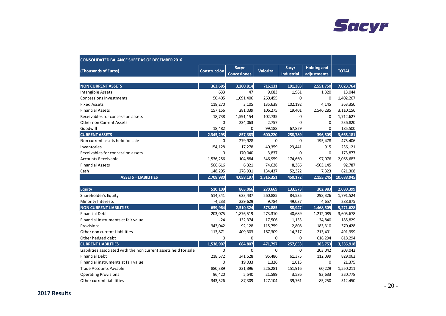

| <b>CONSOLIDATED BALANCE SHEET AS OF DECEMBER 2016</b>            |                     |                                    |                 |                     |                                   |              |
|------------------------------------------------------------------|---------------------|------------------------------------|-----------------|---------------------|-----------------------------------|--------------|
| (Thousands of Euros)                                             | <b>Construcción</b> | <b>Sacyr</b><br><b>Concesiones</b> | <b>Valoriza</b> | Sacyr<br>Industrial | <b>Holding and</b><br>adjustments | <b>TOTAL</b> |
| <b>NON CURRENT ASSETS</b>                                        | 363.685             | 3,200,814                          | 716,131         | 191,383             | 2,551,750                         | 7,023,764    |
| Intangible Assets                                                | 633                 | 47                                 | 9,083           | 1,961               | 1,320                             | 13,044       |
| <b>Concessions Investments</b>                                   | 50,405              | 1,091,406                          | 260,455         | 0                   | $\mathbf 0$                       | 1,402,267    |
| <b>Fixed Assets</b>                                              | 118,270             | 3,105                              | 135,638         | 102,192             | 4,145                             | 363,350      |
| <b>Financial Assets</b>                                          | 157,156             | 281,039                            | 106,275         | 19,401              | 2,546,285                         | 3,110,156    |
| Receivables for concession assets                                | 18,738              | 1,591,154                          | 102,735         | 0                   | $\mathbf 0$                       | 1,712,627    |
| <b>Other non Current Assets</b>                                  | 0                   | 234,063                            | 2,757           | $\mathbf 0$         | $\mathbf 0$                       | 236,820      |
| Goodwill                                                         | 18,482              | 0                                  | 99,188          | 67,829              | $\mathbf 0$                       | 185,500      |
| <b>CURRENT ASSETS</b>                                            | 2,345,295           | 857,383                            | 600,220         | 258,789             | $-396,505$                        | 3,665,181    |
| Non current assets held for sale                                 | 0                   | 279,928                            | $\mathbf 0$     | 0                   | 195,478                           | 475,406      |
| Inventories                                                      | 154,128             | 17,278                             | 40,359          | 23,441              | 915                               | 236,121      |
| Receivables for concession assets                                | 0                   | 170,040                            | 3,837           | 0                   | $\mathbf 0$                       | 173,877      |
| <b>Accounts Receivable</b>                                       | 1,536,256           | 104,884                            | 346,959         | 174,660             | $-97,076$                         | 2,065,683    |
| <b>Financial Assets</b>                                          | 506,616             | 6,321                              | 74,628          | 8,366               | $-503,145$                        | 92,787       |
| Cash                                                             | 148,295             | 278,931                            | 134,437         | 52,322              | 7,323                             | 621,308      |
| <b>ASSETS = LIABILITIES</b>                                      | 2,708,980           | 4,058,197                          | 1,316,351       | 450,172             | 2,155,245                         | 10,688,945   |
| <b>Equity</b>                                                    | 510.109             | 863,066                            | 270,669         | 133,573             | 302.983                           | 2,080,399    |
| Shareholder's Equity                                             | 514,341             | 633,437                            | 260,885         | 84,535              | 298,326                           | 1,791,524    |
| Minority Interests                                               | $-4,233$            | 229,629                            | 9,784           | 49,037              | 4,657                             | 288,875      |
| <b>NON CURRENT LIABILITIES</b>                                   | 659,964             | 2,510,324                          | 573,885         | 58,947              | 1,468,509                         | 5,271,628    |
| <b>Financial Debt</b>                                            | 203,075             | 1,876,519                          | 273,310         | 40,689              | 1,212,085                         | 3,605,678    |
| Financial Instruments at fair value                              | $-24$               | 132,374                            | 17,506          | 1,133               | 34,840                            | 185,829      |
| Provisions                                                       | 343,042             | 92,128                             | 115,759         | 2,808               | $-183,310$                        | 370,428      |
| Other non current Liabilities                                    | 113,871             | 409,303                            | 167,309         | 14,317              | $-213,401$                        | 491,399      |
| Other hedged debt                                                | 0                   | 0                                  | $\mathbf 0$     | 0                   | 618,294                           | 618,294      |
| <b>CURRENT LIABILITIES</b>                                       | 1,538,907           | 684,807                            | 471,797         | 257,653             | 383,753                           | 3,336,918    |
| Liabilities associated with the non current assets held for sale | $\Omega$            | $\mathbf 0$                        | $\Omega$        | $\Omega$            | 203,042                           | 203,042      |
| <b>Financial Debt</b>                                            | 218,572             | 341,528                            | 95,486          | 61,375              | 112,099                           | 829,062      |
| Financial instruments at fair value                              | 0                   | 19,033                             | 1,326           | 1,015               | 0                                 | 21,375       |
| <b>Trade Accounts Payable</b>                                    | 880,389             | 231,396                            | 226,281         | 151,916             | 60,229                            | 1,550,211    |
| <b>Operating Provisions</b>                                      | 96,420              | 5,540                              | 21,599          | 3,586               | 93,633                            | 220,778      |
| Other current liabilities                                        | 343,526             | 87,309                             | 127,104         | 39,761              | $-85,250$                         | 512,450      |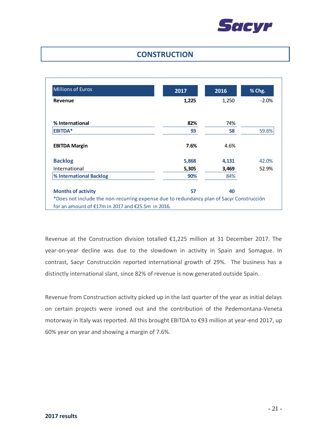

## **CONSTRUCTION**

| <b>Millions of Euros</b>                                                                 | 2017  | 2016  | % Chg.  |
|------------------------------------------------------------------------------------------|-------|-------|---------|
| Revenue                                                                                  | 1,225 | 1,250 | $-2.0%$ |
| % International                                                                          | 82%   | 74%   |         |
| <b>EBITDA*</b>                                                                           | 93    | 58    | 59.6%   |
| <b>EBITDA Margin</b>                                                                     | 7.6%  | 4.6%  |         |
| <b>Backlog</b>                                                                           | 5,868 | 4,131 | 42.0%   |
| International                                                                            | 5,305 | 3,469 | 52.9%   |
| % International Backlog                                                                  | 90%   | 84%   |         |
| <b>Months of activity</b>                                                                | 57    | 40    |         |
| *Does not include the non-recurring expense due to redundancy plan of Sacyr Construcción |       |       |         |
| for an amount of $£17m$ in 2017 and $£25.5m$ in 2016.                                    |       |       |         |

Revenue at the Construction division totalled €1,225 million at 31 December 2017. The year-on-year decline was due to the slowdown in activity in Spain and Somague. In contrast, Sacyr Construcción reported international growth of 29%. The business has a distinctly international slant, since 82% of revenue is now generated outside Spain.

Revenue from Construction activity picked up in the last quarter of the year as initial delays on certain projects were ironed out and the contribution of the Pedemontana-Veneta motorway in Italy was reported. All this brought EBITDA to €93 million at year-end 2017, up 60% year on year and showing a margin of 7.6%.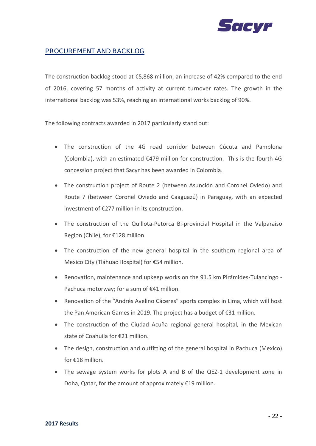

### PROCUREMENT AND BACKLOG

The construction backlog stood at €5,868 million, an increase of 42% compared to the end of 2016, covering 57 months of activity at current turnover rates. The growth in the international backlog was 53%, reaching an international works backlog of 90%.

The following contracts awarded in 2017 particularly stand out:

- The construction of the 4G road corridor between Cúcuta and Pamplona (Colombia), with an estimated €479 million for construction. This is the fourth 4G concession project that Sacyr has been awarded in Colombia.
- The construction project of Route 2 (between Asunción and Coronel Oviedo) and Route 7 (between Coronel Oviedo and Caaguazú) in Paraguay, with an expected investment of €277 million in its construction.
- The construction of the Quillota-Petorca Bi-provincial Hospital in the Valparaiso Region (Chile), for €128 million.
- The construction of the new general hospital in the southern regional area of Mexico City (Tláhuac Hospital) for €54 million.
- Renovation, maintenance and upkeep works on the 91.5 km Pirámides-Tulancingo Pachuca motorway; for a sum of €41 million.
- Renovation of the "Andrés Avelino Cáceres" sports complex in Lima, which will host the Pan American Games in 2019. The project has a budget of €31 million.
- The construction of the Ciudad Acuña regional general hospital, in the Mexican state of Coahuila for €21 million.
- The design, construction and outfitting of the general hospital in Pachuca (Mexico) for €18 million.
- The sewage system works for plots A and B of the QEZ-1 development zone in Doha, Qatar, for the amount of approximately €19 million.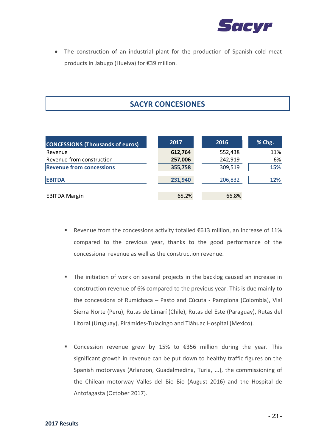

• The construction of an industrial plant for the production of Spanish cold meat products in Jabugo (Huelva) for €39 million.

# **SACYR CONCESIONES**

| <b>CONCESSIONS (Thousands of euros)</b> | 2017    | 2016    | % Chg. |
|-----------------------------------------|---------|---------|--------|
| Revenue                                 | 612,764 | 552,438 | 11%    |
| Revenue from construction               | 257,006 | 242,919 | 6%     |
| <b>Revenue from concessions</b>         | 355,758 | 309,519 | 15%    |
| <b>EBITDA</b>                           | 231,940 | 206,832 | 12%    |
| <b>EBITDA Margin</b>                    | 65.2%   | 66.8%   |        |

- **E** Revenue from the concessions activity totalled  $\epsilon$ 613 million, an increase of 11% compared to the previous year, thanks to the good performance of the concessional revenue as well as the construction revenue.
- The initiation of work on several projects in the backlog caused an increase in construction revenue of 6% compared to the previous year. This is due mainly to the concessions of Rumichaca – Pasto and Cúcuta - Pamplona (Colombia), Vial Sierra Norte (Peru), Rutas de Limarí (Chile), Rutas del Este (Paraguay), Rutas del Litoral (Uruguay), Pirámides-Tulacingo and Tláhuac Hospital (Mexico).
- Concession revenue grew by 15% to €356 million during the year. This significant growth in revenue can be put down to healthy traffic figures on the Spanish motorways (Arlanzon, Guadalmedina, Turia, ...), the commissioning of the Chilean motorway Valles del Bio Bio (August 2016) and the Hospital de Antofagasta (October 2017).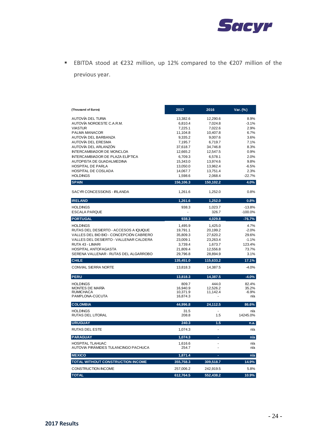

▪ EBITDA stood at €232 million, up 12% compared to the €207 million of the previous year.

| (Thousand of Euros)                                        | 2017                | 2016                | Var. (%)          |
|------------------------------------------------------------|---------------------|---------------------|-------------------|
| AUTOVÍA DEL TURIA                                          | 13,382.6            | 12,290.6            | 8.9%              |
| AUTOVÍA NOROESTE C.A.R.M.                                  | 6,810.4             | 7,024.8             | $-3.1%$           |
| <b>VIASTUR</b>                                             | 7,225.1             | 7,022.6             | 2.9%              |
| PALMA MANACOR                                              | 11,104.8            | 10,407.8            | 6.7%              |
| AUTOVÍA DEL BARBANZA<br>AUTOVÍA DEL ERESMA                 | 9,335.2<br>7,195.7  | 9,007.6<br>6,719.7  | 3.6%<br>7.1%      |
| AUTOVÍA DEL ARLANZÓN                                       | 37,618.7            | 34,746.8            | 8.3%              |
| <b>INTERCAMBIADOR DE MONCLOA</b>                           | 12,665.2            | 12,547.5            | 0.9%              |
| INTERCAMBIADOR DE PLAZA ELÍPTICA                           | 6,709.3             | 6,578.1             | 2.0%              |
| AUTOPISTA DE GUADALMEDINA                                  | 15,343.0            | 13,974.6            | 9.8%              |
| HOSPITAL DE PARLA                                          | 13,050.0            | 13,962.4            | $-6.5%$           |
| HOSPITAL DE COSLADA                                        | 14,067.7            | 13,751.4            | 2.3%              |
| <b>HOLDINGS</b>                                            | 1,598.6             | 2,068.4             | $-22.7%$          |
| <b>SPAIN</b>                                               | 156,106.3           | 150,102.2           | 4.0%              |
| SACYR CONCESSIONS - IRLANDA                                | 1,261.6             | 1,252.0             | 0.8%              |
| <b>IRELAND</b>                                             | 1,261.6             | 1,252.0             | 0.8%              |
| <b>HOLDINGS</b>                                            | 938.3               | 1,023.7             | $-13.8%$          |
| <b>ESCALA PARQUE</b>                                       |                     | 326.7               | $-100.0%$         |
| <b>PORTUGAL</b>                                            | 938.3               | 4,029.8             | $-76.7%$          |
| <b>HOLDINGS</b>                                            | 1,495.9             | 1,425.0             | 4.7%              |
| RUTAS DEL DESIERTO - ACCESOS A IQUIQUE                     | 19,791.1            | 20,199.2            | $-2.0%$           |
| VALLES DEL BIO BIO - CONCEPCIÓN CABRERO                    | 35,809.3            | 27,620.2            | 29.6%             |
| VALLES DEL DESIERTO - VALLENAR CALDERA<br>RUTA 43 - LIMARI | 23,009.1            | 23,263.4            | $-1.1%$<br>123.4% |
| <b>HOSPITAL ANTOFAGASTA</b>                                | 3,739.4<br>21,809.4 | 1,673.7<br>12,556.8 | 73.7%             |
| SERENA VALLENAR - RUTAS DEL ALGARROBO                      | 29,796.8            | 28,894.9            | 3.1%              |
| <b>CHILE</b>                                               | 135,451.0           | 115,633.2           | 17.1%             |
| CONVIAL SIERRA NORTE                                       | 13,818.3            | 14,387.5            | $-4.0%$           |
| <b>PERU</b>                                                | 13,818.3            | 14,387.5            | $-4.0%$           |
| <b>HOLDINGS</b>                                            | 809.7               | 444.0               | 82.4%             |
| <b>MONTES DE MARÍA</b>                                     | 16,940.9            | 12,526.2            | 35.2%             |
| <b>RUMICHACA</b>                                           | 10,371.9            | 11,142.4            | $-6.9%$           |
| PAMPLONA-CUCUTA                                            | 16,874.3            |                     | n/a               |
| <b>COLOMBIA</b>                                            | 44,996.8            | 24,112.5            | 86.6%             |
| <b>HOLDINGS</b><br>RUTAS DEL LITORAL                       | 31.5<br>208.8       | 1.5                 | n/a<br>14245.0%   |
| <b>URUGUAY</b>                                             | 240.3               | 1.5                 | n.a.              |
| <b>RUTAS DEL ESTE</b>                                      | 1,074.3             | L,                  | n/a               |
| <b>PARAGUAY</b>                                            | 1,074.3             | ä,                  | n/a               |
| <b>HOSPITAL TLAHUAC</b>                                    | 1,616.6             | ä,                  | n/a               |
| AUTOVIA PIRAMIDES TULANCINGO PACHUCA                       | 254.7               | l,                  | n/a               |
| <b>MEXICO</b>                                              | 1,871.4             | ÷,                  | n/a               |
| TOTAL WITHOUT CONSTRUCTION INCOME                          | 355,758.3           | 309,518.7           | 14.9%             |
| CONSTRUCTION INCOME                                        | 257,006.2           | 242,919.5           | 5.8%              |
| <b>TOTAL</b>                                               | 612,764.5           | 552,438.2           | 10.9%             |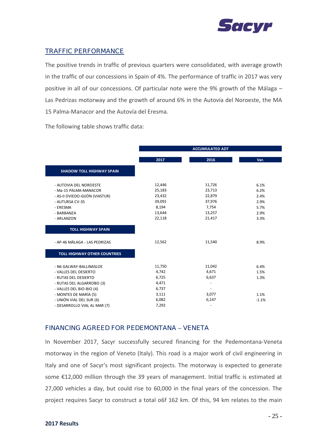

### TRAFFIC PERFORMANCE

The positive trends in traffic of previous quarters were consolidated, with average growth in the traffic of our concessions in Spain of 4%. The performance of traffic in 2017 was very positive in all of our concessions. Of particular note were the 9% growth of the Málaga – Las Pedrizas motorway and the growth of around 6% in the Autovía del Noroeste, the MA 15 Palma-Manacor and the Autovía del Eresma.

|                                     |        | <b>ACCUMULATED ADT</b> |         |
|-------------------------------------|--------|------------------------|---------|
|                                     | 2017   | 2016                   | Var.    |
| <b>SHADOW TOLL HIGHWAY SPAIN</b>    |        |                        |         |
| - AUTOVIA DEL NOROESTE              | 12,446 | 11,726                 | 6.1%    |
| - Ma-15 PALMA-MANACOR               | 25,183 | 23,713                 | 6.2%    |
| - AS-II OVIEDO-GIJÓN (VIASTUR)      | 23,432 | 22,879                 | 2.4%    |
| - AUTURSA CV-35                     | 39,091 | 37,976                 | 2.9%    |
| - ERESMA                            | 8,194  | 7,754                  | 5.7%    |
| - BARBANZA                          | 13,644 | 13,257                 | 2.9%    |
| - ARLANZON                          | 22,118 | 21,417                 | 3.3%    |
| <b>TOLL HIGHWAY SPAIN</b>           |        |                        |         |
| - AP-46 MÁLAGA - LAS PEDRIZAS       | 12,562 | 11,540                 | 8.9%    |
| <b>TOLL HIGHWAY OTHER COUNTRIES</b> |        |                        |         |
| - N6 GALWAY-BALLINASLOE             | 11,750 | 11,042                 | 6.4%    |
| - VALLES DEL DESIERTO               | 4,742  | 4,671                  | 1.5%    |
| - RUTAS DEL DESIERTO                | 6,725  | 6,637                  | 1.3%    |
| - RUTAS DEL ALGARROBO (3)           | 4,471  |                        |         |
| - VALLES DEL BIO-BIO (4)            | 6,737  |                        |         |
| - MONTES DE MARÍA (5)               | 3,111  | 3,077                  | 1.1%    |
| - UNIÓN VIAL DEL SUR (6)            | 6,082  | 6,147                  | $-1.1%$ |
| - DESARROLLO VIAL AL MAR (7)        | 7,292  |                        |         |

The following table shows traffic data:

### FINANCING AGREED FOR PEDEMONTANA **–** VENETA

In November 2017, Sacyr successfully secured financing for the Pedemontana-Veneta motorway in the region of Veneto (Italy). This road is a major work of civil engineering in Italy and one of Sacyr's most significant projects. The motorway is expected to generate some €12,000 million through the 39 years of management. Initial traffic is estimated at 27,000 vehicles a day, but could rise to 60,000 in the final years of the concession. The project requires Sacyr to construct a total o6f 162 km. Of this, 94 km relates to the main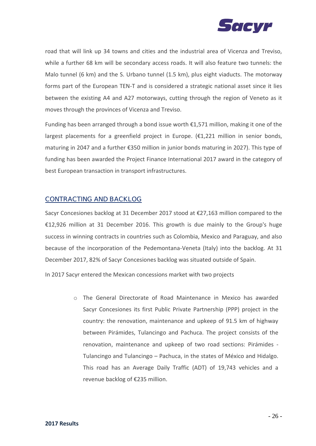

road that will link up 34 towns and cities and the industrial area of Vicenza and Treviso, while a further 68 km will be secondary access roads. It will also feature two tunnels: the Malo tunnel (6 km) and the S. Urbano tunnel (1.5 km), plus eight viaducts. The motorway forms part of the European TEN-T and is considered a strategic national asset since it lies between the existing A4 and A27 motorways, cutting through the region of Veneto as it moves through the provinces of Vicenza and Treviso.

Funding has been arranged through a bond issue worth  $£1,571$  million, making it one of the largest placements for a greenfield project in Europe. (€1,221 million in senior bonds, maturing in 2047 and a further €350 million in junior bonds maturing in 2027). This type of funding has been awarded the Project Finance International 2017 award in the category of best European transaction in transport infrastructures.

### CONTRACTING AND BACKLOG

Sacyr Concesiones backlog at 31 December 2017 stood at €27,163 million compared to the €12,926 million at 31 December 2016. This growth is due mainly to the Group's huge success in winning contracts in countries such as Colombia, Mexico and Paraguay, and also because of the incorporation of the Pedemontana-Veneta (Italy) into the backlog. At 31 December 2017, 82% of Sacyr Concesiones backlog was situated outside of Spain.

In 2017 Sacyr entered the Mexican concessions market with two projects

o The General Directorate of Road Maintenance in Mexico has awarded Sacyr Concesiones its first Public Private Partnership (PPP) project in the country: the renovation, maintenance and upkeep of 91.5 km of highway between Pirámides, Tulancingo and Pachuca. The project consists of the renovation, maintenance and upkeep of two road sections: Pirámides - Tulancingo and Tulancingo – Pachuca, in the states of México and Hidalgo. This road has an Average Daily Traffic (ADT) of 19,743 vehicles and a revenue backlog of €235 million.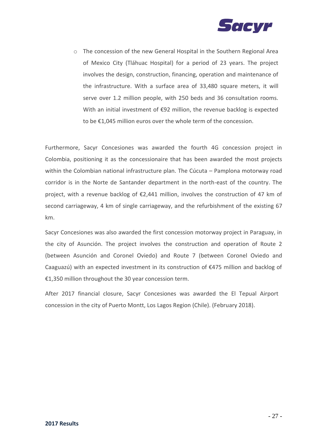

o The concession of the new General Hospital in the Southern Regional Area of Mexico City (Tláhuac Hospital) for a period of 23 years. The project involves the design, construction, financing, operation and maintenance of the infrastructure. With a surface area of 33,480 square meters, it will serve over 1.2 million people, with 250 beds and 36 consultation rooms. With an initial investment of €92 million, the revenue backlog is expected to be €1,045 million euros over the whole term of the concession.

Furthermore, Sacyr Concesiones was awarded the fourth 4G concession project in Colombia, positioning it as the concessionaire that has been awarded the most projects within the Colombian national infrastructure plan. The Cúcuta – Pamplona motorway road corridor is in the Norte de Santander department in the north-east of the country. The project, with a revenue backlog of €2,441 million, involves the construction of 47 km of second carriageway, 4 km of single carriageway, and the refurbishment of the existing 67 km.

Sacyr Concesiones was also awarded the first concession motorway project in Paraguay, in the city of Asunción. The project involves the construction and operation of Route 2 (between Asunción and Coronel Oviedo) and Route 7 (between Coronel Oviedo and Caaguazú) with an expected investment in its construction of €475 million and backlog of €1,350 million throughout the 30 year concession term.

After 2017 financial closure, Sacyr Concesiones was awarded the El Tepual Airport concession in the city of Puerto Montt, Los Lagos Region (Chile). (February 2018).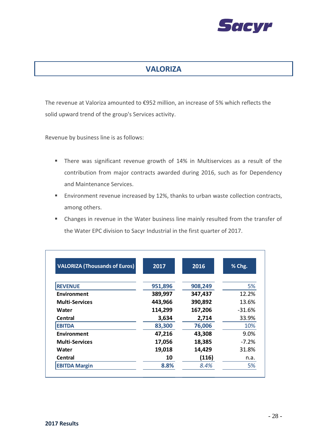

# **VALORIZA**

The revenue at Valoriza amounted to €952 million, an increase of 5% which reflects the solid upward trend of the group's Services activity.

Revenue by business line is as follows:

- There was significant revenue growth of 14% in Multiservices as a result of the contribution from major contracts awarded during 2016, such as for Dependency and Maintenance Services.
- Environment revenue increased by 12%, thanks to urban waste collection contracts, among others.
- Changes in revenue in the Water business line mainly resulted from the transfer of the Water EPC division to Sacyr Industrial in the first quarter of 2017.

| <b>VALORIZA (Thousands of Euros)</b> | 2017    | 2016    | % Chg.   |
|--------------------------------------|---------|---------|----------|
| <b>REVENUE</b>                       | 951,896 | 908,249 | 5%       |
| <b>Environment</b>                   | 389,997 | 347,437 | 12.2%    |
| <b>Multi-Services</b>                | 443,966 | 390,892 | 13.6%    |
| Water                                | 114,299 | 167,206 | $-31.6%$ |
| Central                              | 3,634   | 2,714   | 33.9%    |
| <b>EBITDA</b>                        | 83,300  | 76,006  | 10%      |
| Environment                          | 47,216  | 43,308  | 9.0%     |
| <b>Multi-Services</b>                | 17,056  | 18,385  | $-7.2\%$ |
| Water                                | 19,018  | 14,429  | 31.8%    |
| Central                              | 10      | (116)   | n.a.     |
| <b>EBITDA Margin</b>                 | 8.8%    | 8.4%    | 5%       |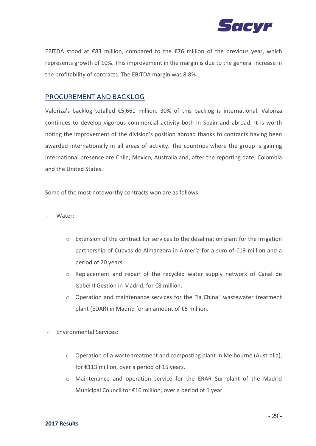

EBITDA stood at €83 million, compared to the €76 million of the previous year, which represents growth of 10%. This improvement in the margin is due to the general increase in the profitability of contracts. The EBITDA margin was 8.8%.

### PROCUREMENT AND BACKLOG

Valoriza's backlog totalled €5,661 million. 30% of this backlog is international. Valoriza continues to develop vigorous commercial activity both in Spain and abroad. It is worth noting the improvement of the division's position abroad thanks to contracts having been awarded internationally in all areas of activity. The countries where the group is gaining international presence are Chile, Mexico, Australia and, after the reporting date, Colombia and the United States.

Some of the most noteworthy contracts won are as follows:

Water:

- o Extension of the contract for services to the desalination plant for the irrigation partnership of Cuevas de Almanzora in Almería for a sum of €19 million and a period of 20 years.
- o Replacement and repair of the recycled water supply network of Canal de Isabel II Gestión in Madrid, for €8 million.
- o Operation and maintenance services for the "la China" wastewater treatment plant (EDAR) in Madrid for an amount of €5 million.
- Environmental Services:
	- o Operation of a waste treatment and composting plant in Melbourne (Australia), for €113 million, over a period of 15 years.
	- o Maintenance and operation service for the ERAR Sur plant of the Madrid Municipal Council for €16 million, over a period of 1 year.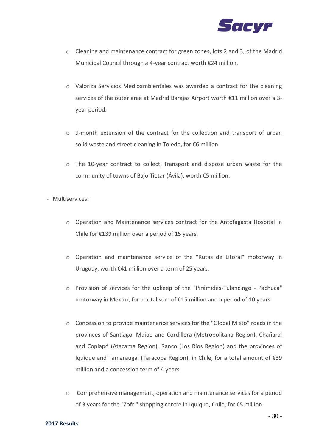

- o Cleaning and maintenance contract for green zones, lots 2 and 3, of the Madrid Municipal Council through a 4-year contract worth €24 million.
- o Valoriza Servicios Medioambientales was awarded a contract for the cleaning services of the outer area at Madrid Barajas Airport worth €11 million over a 3 year period.
- $\circ$  9-month extension of the contract for the collection and transport of urban solid waste and street cleaning in Toledo, for €6 million.
- o The 10-year contract to collect, transport and dispose urban waste for the community of towns of Bajo Tietar (Ávila), worth €5 million.

- Multiservices:

- o Operation and Maintenance services contract for the Antofagasta Hospital in Chile for €139 million over a period of 15 years.
- o Operation and maintenance service of the "Rutas de Litoral" motorway in Uruguay, worth €41 million over a term of 25 years.
- o Provision of services for the upkeep of the "Pirámides-Tulancingo Pachuca" motorway in Mexico, for a total sum of €15 million and a period of 10 years.
- $\circ$  Concession to provide maintenance services for the "Global Mixto" roads in the provinces of Santiago, Maipo and Cordillera (Metropolitana Region), Chañaral and Copiapó (Atacama Region), Ranco (Los Ríos Region) and the provinces of Iquique and Tamaraugal (Taracopa Region), in Chile, for a total amount of €39 million and a concession term of 4 years.
- o Comprehensive management, operation and maintenance services for a period of 3 years for the "Zofri" shopping centre in Iquique, Chile, for €5 million.

#### **2017 Results**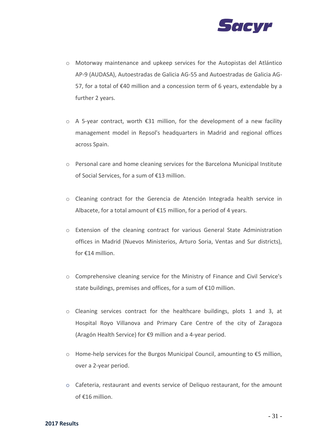

- o Motorway maintenance and upkeep services for the Autopistas del Atlántico AP-9 (AUDASA), Autoestradas de Galicia AG-55 and Autoestradas de Galicia AG-57, for a total of €40 million and a concession term of 6 years, extendable by a further 2 years.
- o A 5-year contract, worth €31 million, for the development of a new facility management model in Repsol's headquarters in Madrid and regional offices across Spain.
- o Personal care and home cleaning services for the Barcelona Municipal Institute of Social Services, for a sum of €13 million.
- o Cleaning contract for the Gerencia de Atención Integrada health service in Albacete, for a total amount of €15 million, for a period of 4 years.
- o Extension of the cleaning contract for various General State Administration offices in Madrid (Nuevos Ministerios, Arturo Soria, Ventas and Sur districts), for €14 million.
- o Comprehensive cleaning service for the Ministry of Finance and Civil Service's state buildings, premises and offices, for a sum of €10 million.
- o Cleaning services contract for the healthcare buildings, plots 1 and 3, at Hospital Royo Villanova and Primary Care Centre of the city of Zaragoza (Aragón Health Service) for €9 million and a 4-year period.
- o Home-help services for the Burgos Municipal Council, amounting to €5 million, over a 2-year period.
- o Cafeteria, restaurant and events service of Deliquo restaurant, for the amount of €16 million.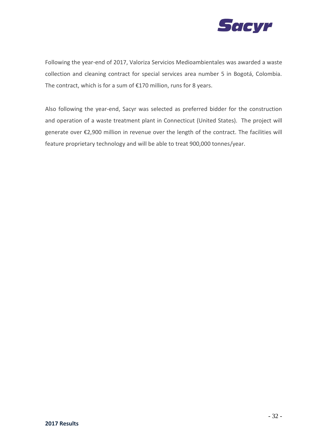

Following the year-end of 2017, Valoriza Servicios Medioambientales was awarded a waste collection and cleaning contract for special services area number 5 in Bogotá, Colombia. The contract, which is for a sum of €170 million, runs for 8 years.

Also following the year-end, Sacyr was selected as preferred bidder for the construction and operation of a waste treatment plant in Connecticut (United States). The project will generate over €2,900 million in revenue over the length of the contract. The facilities will feature proprietary technology and will be able to treat 900,000 tonnes/year.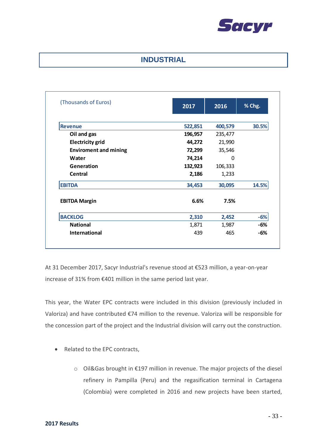

## **INDUSTRIAL**

| (Thousands of Euros)         | 2017    | 2016    | % Chg. |
|------------------------------|---------|---------|--------|
|                              |         |         |        |
| <b>Revenue</b>               | 522,851 | 400,579 | 30.5%  |
| Oil and gas                  | 196,957 | 235,477 |        |
| <b>Electricity grid</b>      | 44,272  | 21,990  |        |
| <b>Enviroment and mining</b> | 72,299  | 35,546  |        |
| Water                        | 74,214  | 0       |        |
| Generation                   | 132,923 | 106,333 |        |
| Central                      | 2,186   | 1,233   |        |
| <b>EBITDA</b>                | 34,453  | 30,095  | 14.5%  |
| <b>EBITDA Margin</b>         | 6.6%    | 7.5%    |        |
| <b>BACKLOG</b>               | 2,310   | 2,452   | $-6%$  |
| <b>National</b>              | 1,871   | 1,987   | -6%    |
| <b>International</b>         | 439     | 465     | -6%    |

At 31 December 2017, Sacyr Industrial's revenue stood at €523 million, a year-on-year increase of 31% from €401 million in the same period last year.

This year, the Water EPC contracts were included in this division (previously included in Valoriza) and have contributed €74 million to the revenue. Valoriza will be responsible for the concession part of the project and the Industrial division will carry out the construction.

- Related to the EPC contracts,
	- o Oil&Gas brought in €197 million in revenue. The major projects of the diesel refinery in Pampilla (Peru) and the regasification terminal in Cartagena (Colombia) were completed in 2016 and new projects have been started,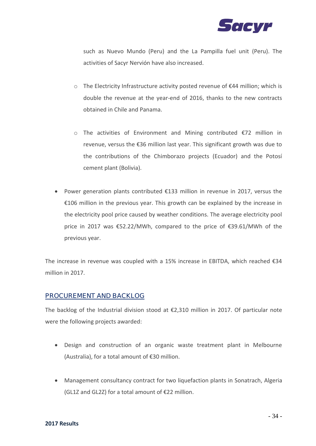

such as Nuevo Mundo (Peru) and the La Pampilla fuel unit (Peru). The activities of Sacyr Nervión have also increased.

- o The Electricity Infrastructure activity posted revenue of €44 million; which is double the revenue at the year-end of 2016, thanks to the new contracts obtained in Chile and Panama.
- o The activities of Environment and Mining contributed €72 million in revenue, versus the €36 million last year. This significant growth was due to the contributions of the Chimborazo projects (Ecuador) and the Potosí cement plant (Bolivia).
- Power generation plants contributed €133 million in revenue in 2017, versus the €106 million in the previous year. This growth can be explained by the increase in the electricity pool price caused by weather conditions. The average electricity pool price in 2017 was €52.22/MWh, compared to the price of €39.61/MWh of the previous year.

The increase in revenue was coupled with a 15% increase in EBITDA, which reached  $\epsilon$ 34 million in 2017.

#### PROCUREMENT AND BACKLOG

The backlog of the Industrial division stood at  $\epsilon$ 2,310 million in 2017. Of particular note were the following projects awarded:

- Design and construction of an organic waste treatment plant in Melbourne (Australia), for a total amount of €30 million.
- Management consultancy contract for two liquefaction plants in Sonatrach, Algeria (GL1Z and GL2Z) for a total amount of €22 million.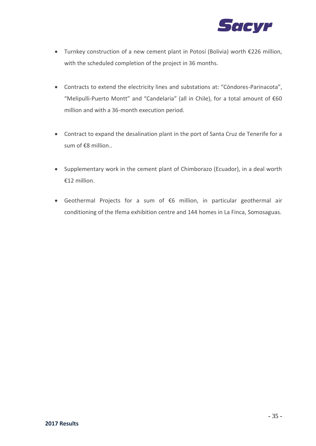

- Turnkey construction of a new cement plant in Potosí (Bolivia) worth €226 million, with the scheduled completion of the project in 36 months.
- Contracts to extend the electricity lines and substations at: "Cóndores-Parinacota", "Melipulli-Puerto Montt" and "Candelaria" (all in Chile), for a total amount of €60 million and with a 36-month execution period.
- Contract to expand the desalination plant in the port of Santa Cruz de Tenerife for a sum of €8 million..
- Supplementary work in the cement plant of Chimborazo (Ecuador), in a deal worth €12 million.
- Geothermal Projects for a sum of €6 million, in particular geothermal air conditioning of the Ifema exhibition centre and 144 homes in La Finca, Somosaguas.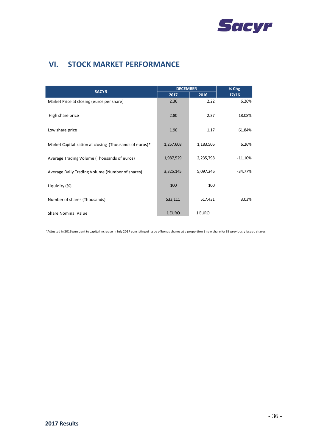

# **VI. STOCK MARKET PERFORMANCE**

| <b>SACYR</b>                                           | <b>DECEMBER</b> |           | % Chg     |  |
|--------------------------------------------------------|-----------------|-----------|-----------|--|
|                                                        | 2017            | 2016      | 17/16     |  |
| Market Price at closing (euros per share)              | 2.36            | 2.22      | 6.26%     |  |
| High share price                                       | 2.80            | 2.37      | 18.08%    |  |
| Low share price                                        | 1.90            | 1.17      | 61.84%    |  |
| Market Capitalization at closing (Thousands of euros)* | 1,257,608       | 1,183,506 | 6.26%     |  |
| Average Trading Volume (Thousands of euros)            | 1,987,529       | 2,235,798 | $-11.10%$ |  |
| Average Daily Trading Volume (Number of shares)        | 3,325,145       | 5,097,246 | $-34.77%$ |  |
| Liquidity (%)                                          | 100             | 100       |           |  |
| Number of shares (Thousands)                           | 533,111         | 517,431   | 3.03%     |  |
| <b>Share Nominal Value</b>                             | 1 EURO          | 1 EURO    |           |  |

\*Adjusted in 2016 pursuant to capital increase in July 2017 consisting of issue of bonus shares at a proportion 1 new share for 33 previously issued shares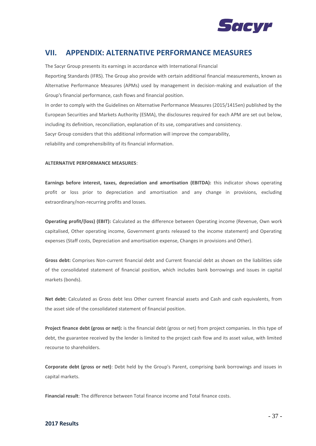

# **VII. APPENDIX: ALTERNATIVE PERFORMANCE MEASURES**

The Sacyr Group presents its earnings in accordance with International Financial

Reporting Standards (IFRS). The Group also provide with certain additional financial measurements, known as Alternative Performance Measures (APMs) used by management in decision-making and evaluation of the Group's financial performance, cash flows and financial position.

In order to comply with the Guidelines on Alternative Performance Measures (2015/1415en) published by the European Securities and Markets Authority (ESMA), the disclosures required for each APM are set out below, including its definition, reconciliation, explanation of its use, comparatives and consistency. Sacyr Group considers that this additional information will improve the comparability,

reliability and comprehensibility of its financial information.

#### **ALTERNATIVE PERFORMANCE MEASURES**:

**Earnings before interest, taxes, depreciation and amortisation (EBITDA):** this indicator shows operating profit or loss prior to depreciation and amortisation and any change in provisions, excluding extraordinary/non-recurring profits and losses.

**Operating profit/(loss) (EBIT):** Calculated as the difference between Operating income (Revenue, Own work capitalised, Other operating income, Government grants released to the income statement) and Operating expenses (Staff costs, Depreciation and amortisation expense, Changes in provisions and Other).

**Gross debt:** Comprises Non-current financial debt and Current financial debt as shown on the liabilities side of the consolidated statement of financial position, which includes bank borrowings and issues in capital markets (bonds).

**Net debt:** Calculated as Gross debt less Other current financial assets and Cash and cash equivalents, from the asset side of the consolidated statement of financial position.

**Project finance debt (gross or net):** is the financial debt (gross or net) from project companies. In this type of debt, the guarantee received by the lender is limited to the project cash flow and its asset value, with limited recourse to shareholders.

**Corporate debt (gross or net)**: Debt held by the Group's Parent, comprising bank borrowings and issues in capital markets.

**Financial result**: The difference between Total finance income and Total finance costs.

#### **2017 Results**